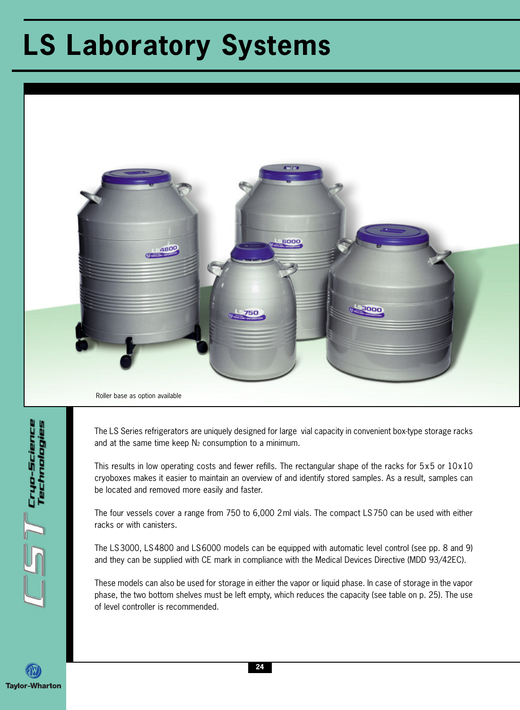## **LS Laboratory Systems**



The LS Series refrigerators are uniquely designed for large vial capacity in convenient box-type storage racks and at the same time keep  $N_2$  consumption to a minimum.

This results in low operating costs and fewer refills. The rectangular shape of the racks for 5x5 or 10x10 cryoboxes makes it easier to maintain an overview of and identify stored samples. As a result, samples can be located and removed more easily and faster.

The four vessels cover a range from 750 to 6,000 2ml vials. The compact LS750 can be used with either racks or with canisters.

The LS3000, LS4800 and LS6000 models can be equipped with automatic level control (see pp. 8 and 9) and they can be supplied with CE mark in compliance with the Medical Devices Directive (MDD 93/42EC).

These models can also be used for storage in either the vapor or liquid phase. In case of storage in the vapor phase, the two bottom shelves must be left empty, which reduces the capacity (see table on p. 25). The use of level controller is recommended.